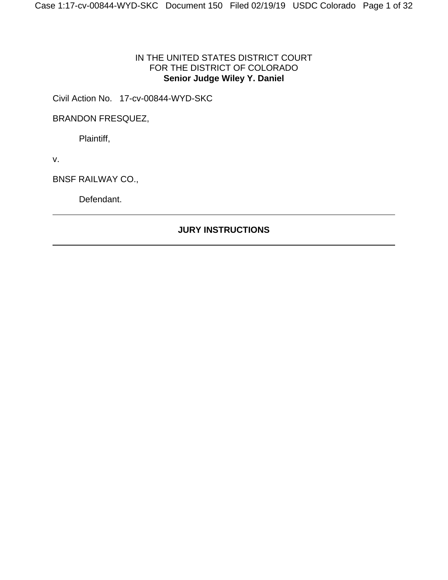### IN THE UNITED STATES DISTRICT COURT FOR THE DISTRICT OF COLORADO **Senior Judge Wiley Y. Daniel**

Civil Action No. 17-cv-00844-WYD-SKC

BRANDON FRESQUEZ,

Plaintiff,

v.

BNSF RAILWAY CO.,

Defendant.

## **JURY INSTRUCTIONS**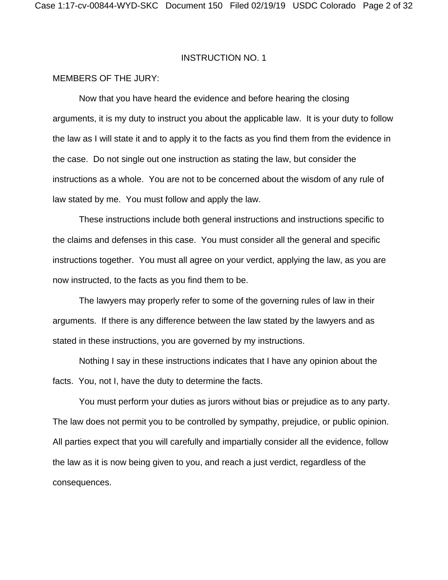### MEMBERS OF THE JURY:

 Now that you have heard the evidence and before hearing the closing arguments, it is my duty to instruct you about the applicable law. It is your duty to follow the law as I will state it and to apply it to the facts as you find them from the evidence in the case. Do not single out one instruction as stating the law, but consider the instructions as a whole. You are not to be concerned about the wisdom of any rule of law stated by me. You must follow and apply the law.

 These instructions include both general instructions and instructions specific to the claims and defenses in this case. You must consider all the general and specific instructions together. You must all agree on your verdict, applying the law, as you are now instructed, to the facts as you find them to be.

 The lawyers may properly refer to some of the governing rules of law in their arguments. If there is any difference between the law stated by the lawyers and as stated in these instructions, you are governed by my instructions.

 Nothing I say in these instructions indicates that I have any opinion about the facts. You, not I, have the duty to determine the facts.

 You must perform your duties as jurors without bias or prejudice as to any party. The law does not permit you to be controlled by sympathy, prejudice, or public opinion. All parties expect that you will carefully and impartially consider all the evidence, follow the law as it is now being given to you, and reach a just verdict, regardless of the consequences.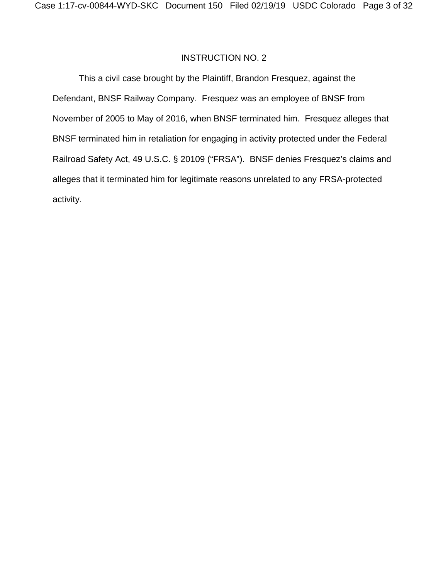This a civil case brought by the Plaintiff, Brandon Fresquez, against the Defendant, BNSF Railway Company. Fresquez was an employee of BNSF from November of 2005 to May of 2016, when BNSF terminated him. Fresquez alleges that BNSF terminated him in retaliation for engaging in activity protected under the Federal Railroad Safety Act, 49 U.S.C. § 20109 ("FRSA"). BNSF denies Fresquez's claims and alleges that it terminated him for legitimate reasons unrelated to any FRSA-protected activity.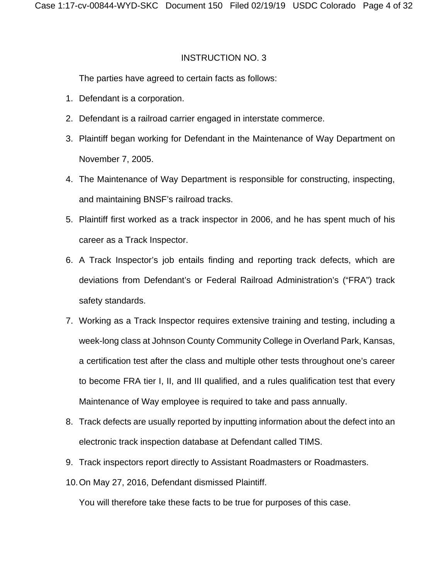The parties have agreed to certain facts as follows:

- 1. Defendant is a corporation.
- 2. Defendant is a railroad carrier engaged in interstate commerce.
- 3. Plaintiff began working for Defendant in the Maintenance of Way Department on November 7, 2005.
- 4. The Maintenance of Way Department is responsible for constructing, inspecting, and maintaining BNSF's railroad tracks.
- 5. Plaintiff first worked as a track inspector in 2006, and he has spent much of his career as a Track Inspector.
- 6. A Track Inspector's job entails finding and reporting track defects, which are deviations from Defendant's or Federal Railroad Administration's ("FRA") track safety standards.
- 7. Working as a Track Inspector requires extensive training and testing, including a week-long class at Johnson County Community College in Overland Park, Kansas, a certification test after the class and multiple other tests throughout one's career to become FRA tier I, II, and III qualified, and a rules qualification test that every Maintenance of Way employee is required to take and pass annually.
- 8. Track defects are usually reported by inputting information about the defect into an electronic track inspection database at Defendant called TIMS.
- 9. Track inspectors report directly to Assistant Roadmasters or Roadmasters.
- 10. On May 27, 2016, Defendant dismissed Plaintiff.

You will therefore take these facts to be true for purposes of this case.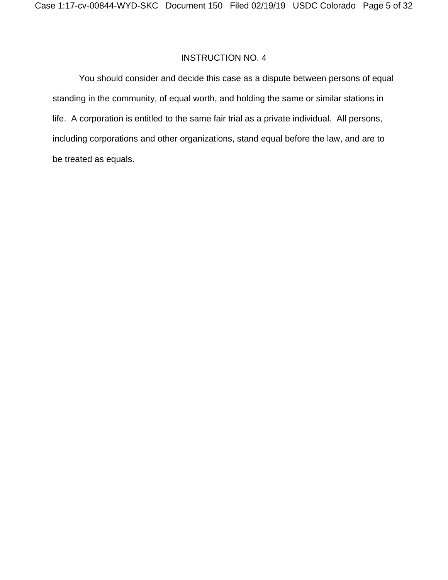You should consider and decide this case as a dispute between persons of equal standing in the community, of equal worth, and holding the same or similar stations in life. A corporation is entitled to the same fair trial as a private individual. All persons, including corporations and other organizations, stand equal before the law, and are to be treated as equals.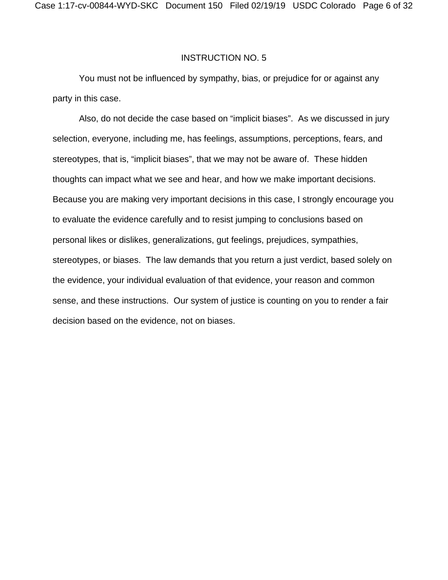You must not be influenced by sympathy, bias, or prejudice for or against any party in this case.

Also, do not decide the case based on "implicit biases". As we discussed in jury selection, everyone, including me, has feelings, assumptions, perceptions, fears, and stereotypes, that is, "implicit biases", that we may not be aware of. These hidden thoughts can impact what we see and hear, and how we make important decisions. Because you are making very important decisions in this case, I strongly encourage you to evaluate the evidence carefully and to resist jumping to conclusions based on personal likes or dislikes, generalizations, gut feelings, prejudices, sympathies, stereotypes, or biases. The law demands that you return a just verdict, based solely on the evidence, your individual evaluation of that evidence, your reason and common sense, and these instructions. Our system of justice is counting on you to render a fair decision based on the evidence, not on biases.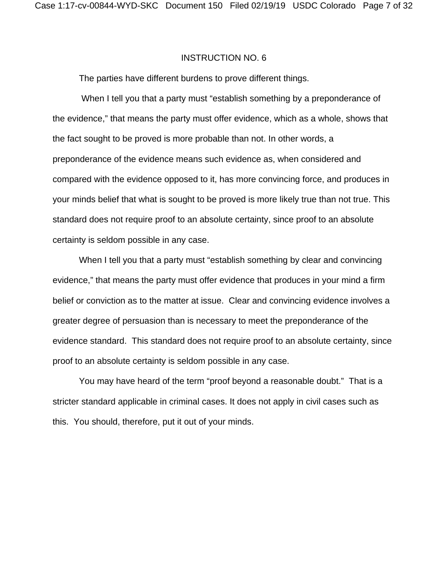The parties have different burdens to prove different things.

 When I tell you that a party must "establish something by a preponderance of the evidence," that means the party must offer evidence, which as a whole, shows that the fact sought to be proved is more probable than not. In other words, a preponderance of the evidence means such evidence as, when considered and compared with the evidence opposed to it, has more convincing force, and produces in your minds belief that what is sought to be proved is more likely true than not true. This standard does not require proof to an absolute certainty, since proof to an absolute certainty is seldom possible in any case.

When I tell you that a party must "establish something by clear and convincing evidence," that means the party must offer evidence that produces in your mind a firm belief or conviction as to the matter at issue. Clear and convincing evidence involves a greater degree of persuasion than is necessary to meet the preponderance of the evidence standard. This standard does not require proof to an absolute certainty, since proof to an absolute certainty is seldom possible in any case.

 You may have heard of the term "proof beyond a reasonable doubt." That is a stricter standard applicable in criminal cases. It does not apply in civil cases such as this. You should, therefore, put it out of your minds.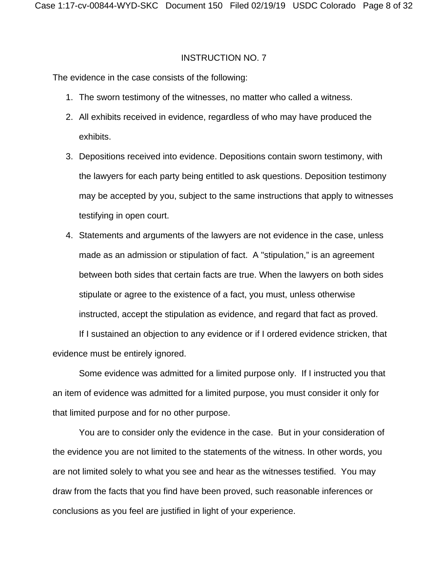The evidence in the case consists of the following:

- 1. The sworn testimony of the witnesses, no matter who called a witness.
- 2. All exhibits received in evidence, regardless of who may have produced the exhibits.
- 3. Depositions received into evidence. Depositions contain sworn testimony, with the lawyers for each party being entitled to ask questions. Deposition testimony may be accepted by you, subject to the same instructions that apply to witnesses testifying in open court.
- 4. Statements and arguments of the lawyers are not evidence in the case, unless made as an admission or stipulation of fact. A "stipulation," is an agreement between both sides that certain facts are true. When the lawyers on both sides stipulate or agree to the existence of a fact, you must, unless otherwise instructed, accept the stipulation as evidence, and regard that fact as proved.

If I sustained an objection to any evidence or if I ordered evidence stricken, that evidence must be entirely ignored.

Some evidence was admitted for a limited purpose only. If I instructed you that an item of evidence was admitted for a limited purpose, you must consider it only for that limited purpose and for no other purpose.

You are to consider only the evidence in the case. But in your consideration of the evidence you are not limited to the statements of the witness. In other words, you are not limited solely to what you see and hear as the witnesses testified. You may draw from the facts that you find have been proved, such reasonable inferences or conclusions as you feel are justified in light of your experience.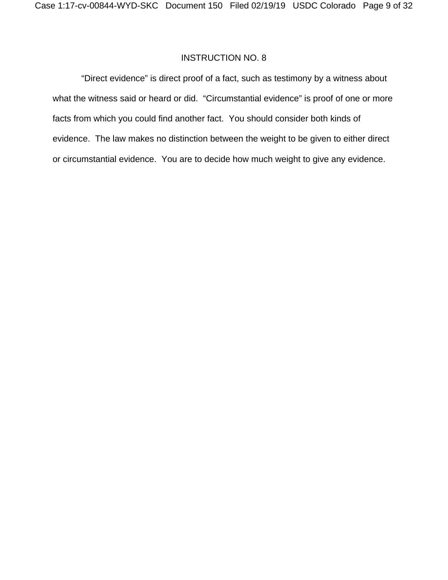"Direct evidence" is direct proof of a fact, such as testimony by a witness about what the witness said or heard or did. "Circumstantial evidence" is proof of one or more facts from which you could find another fact. You should consider both kinds of evidence. The law makes no distinction between the weight to be given to either direct or circumstantial evidence. You are to decide how much weight to give any evidence.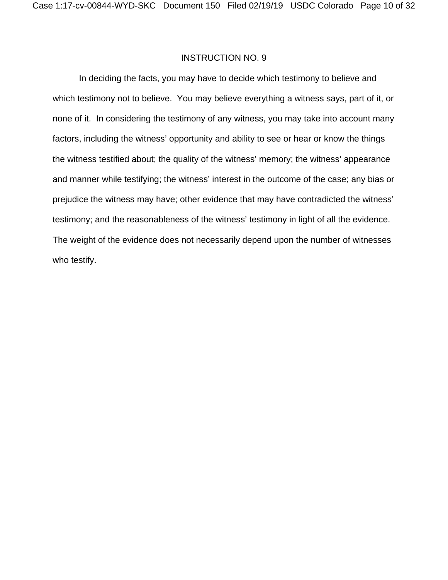In deciding the facts, you may have to decide which testimony to believe and which testimony not to believe. You may believe everything a witness says, part of it, or none of it. In considering the testimony of any witness, you may take into account many factors, including the witness' opportunity and ability to see or hear or know the things the witness testified about; the quality of the witness' memory; the witness' appearance and manner while testifying; the witness' interest in the outcome of the case; any bias or prejudice the witness may have; other evidence that may have contradicted the witness' testimony; and the reasonableness of the witness' testimony in light of all the evidence. The weight of the evidence does not necessarily depend upon the number of witnesses who testify.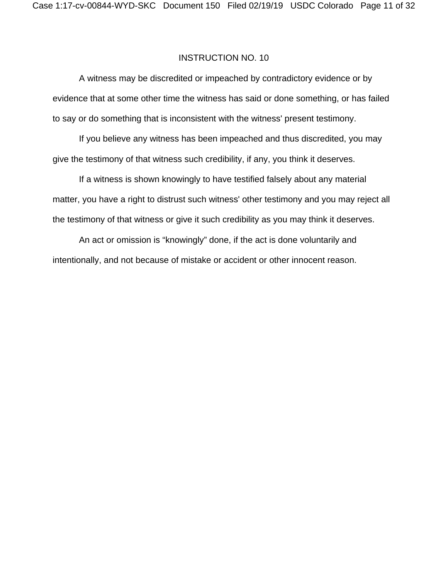A witness may be discredited or impeached by contradictory evidence or by evidence that at some other time the witness has said or done something, or has failed to say or do something that is inconsistent with the witness' present testimony.

If you believe any witness has been impeached and thus discredited, you may give the testimony of that witness such credibility, if any, you think it deserves.

If a witness is shown knowingly to have testified falsely about any material matter, you have a right to distrust such witness' other testimony and you may reject all the testimony of that witness or give it such credibility as you may think it deserves.

An act or omission is "knowingly" done, if the act is done voluntarily and intentionally, and not because of mistake or accident or other innocent reason.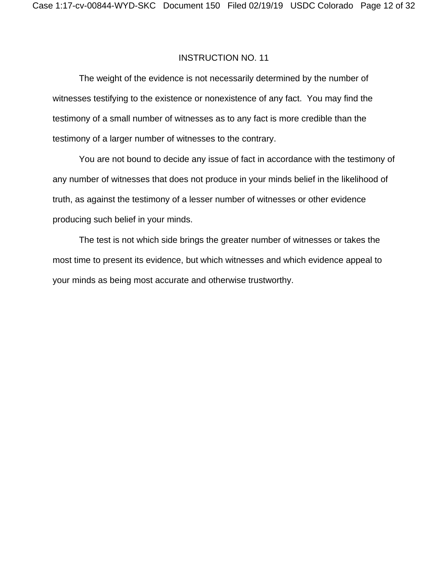The weight of the evidence is not necessarily determined by the number of witnesses testifying to the existence or nonexistence of any fact. You may find the testimony of a small number of witnesses as to any fact is more credible than the testimony of a larger number of witnesses to the contrary.

You are not bound to decide any issue of fact in accordance with the testimony of any number of witnesses that does not produce in your minds belief in the likelihood of truth, as against the testimony of a lesser number of witnesses or other evidence producing such belief in your minds.

The test is not which side brings the greater number of witnesses or takes the most time to present its evidence, but which witnesses and which evidence appeal to your minds as being most accurate and otherwise trustworthy.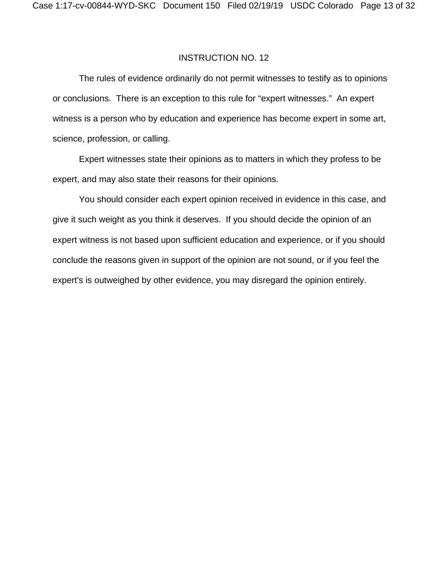The rules of evidence ordinarily do not permit witnesses to testify as to opinions or conclusions. There is an exception to this rule for "expert witnesses." An expert witness is a person who by education and experience has become expert in some art, science, profession, or calling.

Expert witnesses state their opinions as to matters in which they profess to be expert, and may also state their reasons for their opinions.

You should consider each expert opinion received in evidence in this case, and give it such weight as you think it deserves. If you should decide the opinion of an expert witness is not based upon sufficient education and experience, or if you should conclude the reasons given in support of the opinion are not sound, or if you feel the expert's is outweighed by other evidence, you may disregard the opinion entirely.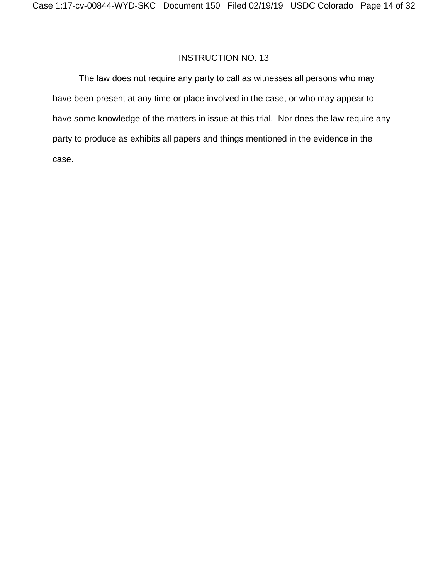The law does not require any party to call as witnesses all persons who may have been present at any time or place involved in the case, or who may appear to have some knowledge of the matters in issue at this trial. Nor does the law require any party to produce as exhibits all papers and things mentioned in the evidence in the case.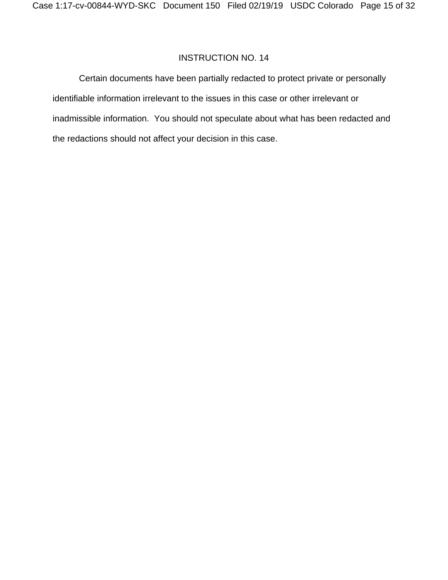Certain documents have been partially redacted to protect private or personally identifiable information irrelevant to the issues in this case or other irrelevant or inadmissible information. You should not speculate about what has been redacted and the redactions should not affect your decision in this case.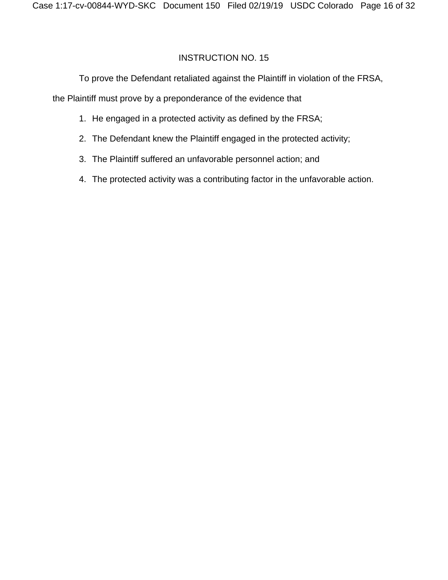To prove the Defendant retaliated against the Plaintiff in violation of the FRSA,

the Plaintiff must prove by a preponderance of the evidence that

- 1. He engaged in a protected activity as defined by the FRSA;
- 2. The Defendant knew the Plaintiff engaged in the protected activity;
- 3. The Plaintiff suffered an unfavorable personnel action; and
- 4. The protected activity was a contributing factor in the unfavorable action.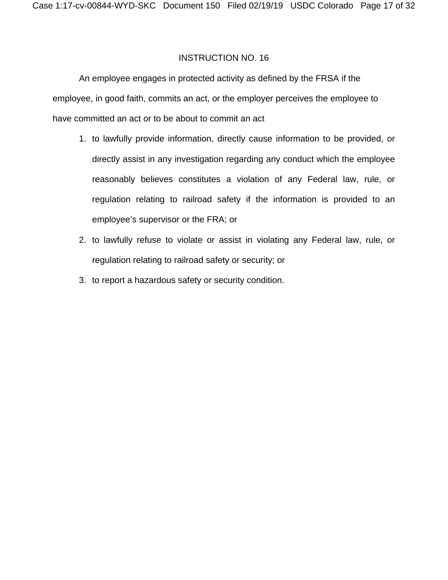An employee engages in protected activity as defined by the FRSA if the employee, in good faith, commits an act, or the employer perceives the employee to have committed an act or to be about to commit an act

- 1. to lawfully provide information, directly cause information to be provided, or directly assist in any investigation regarding any conduct which the employee reasonably believes constitutes a violation of any Federal law, rule, or regulation relating to railroad safety if the information is provided to an employee's supervisor or the FRA; or
- 2. to lawfully refuse to violate or assist in violating any Federal law, rule, or regulation relating to railroad safety or security; or
- 3. to report a hazardous safety or security condition.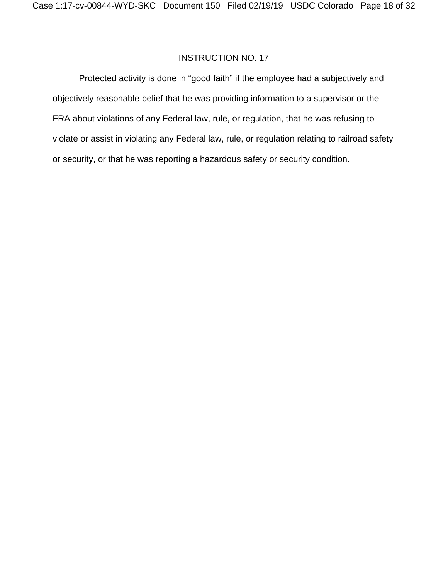Protected activity is done in "good faith" if the employee had a subjectively and objectively reasonable belief that he was providing information to a supervisor or the FRA about violations of any Federal law, rule, or regulation, that he was refusing to violate or assist in violating any Federal law, rule, or regulation relating to railroad safety or security, or that he was reporting a hazardous safety or security condition.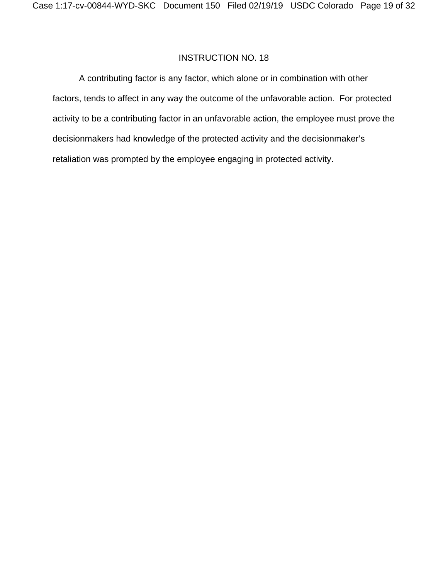A contributing factor is any factor, which alone or in combination with other factors, tends to affect in any way the outcome of the unfavorable action. For protected activity to be a contributing factor in an unfavorable action, the employee must prove the decisionmakers had knowledge of the protected activity and the decisionmaker's retaliation was prompted by the employee engaging in protected activity.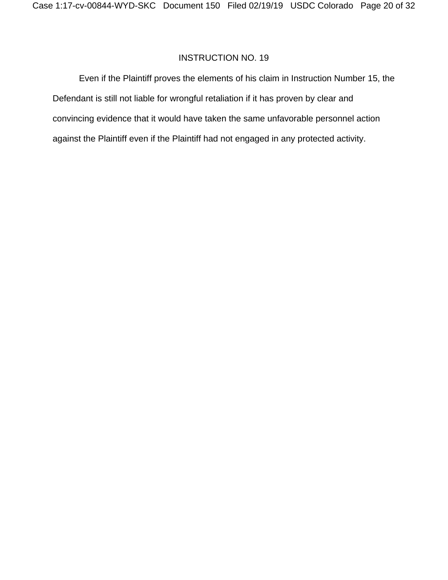Even if the Plaintiff proves the elements of his claim in Instruction Number 15, the Defendant is still not liable for wrongful retaliation if it has proven by clear and convincing evidence that it would have taken the same unfavorable personnel action against the Plaintiff even if the Plaintiff had not engaged in any protected activity.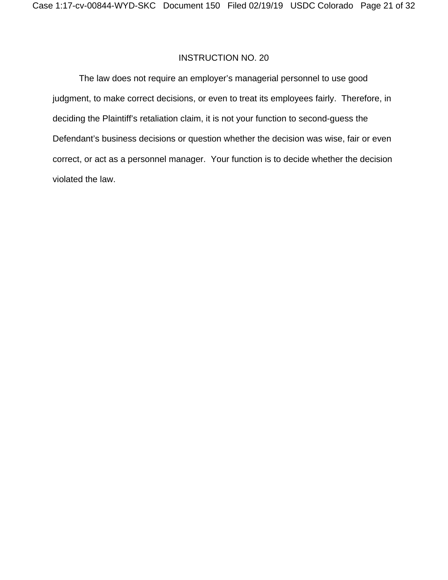The law does not require an employer's managerial personnel to use good judgment, to make correct decisions, or even to treat its employees fairly. Therefore, in deciding the Plaintiff's retaliation claim, it is not your function to second-guess the Defendant's business decisions or question whether the decision was wise, fair or even correct, or act as a personnel manager. Your function is to decide whether the decision violated the law.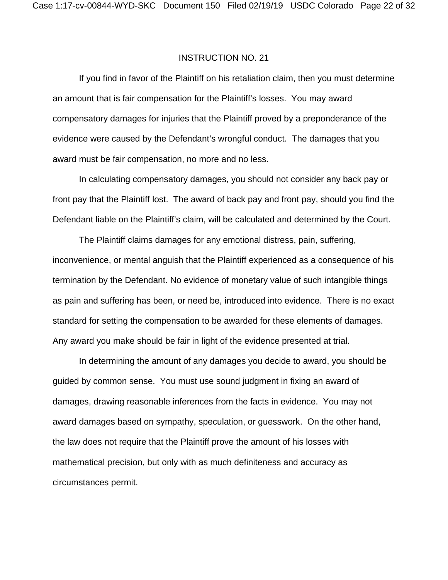If you find in favor of the Plaintiff on his retaliation claim, then you must determine an amount that is fair compensation for the Plaintiff's losses. You may award compensatory damages for injuries that the Plaintiff proved by a preponderance of the evidence were caused by the Defendant's wrongful conduct. The damages that you award must be fair compensation, no more and no less.

In calculating compensatory damages, you should not consider any back pay or front pay that the Plaintiff lost. The award of back pay and front pay, should you find the Defendant liable on the Plaintiff's claim, will be calculated and determined by the Court.

The Plaintiff claims damages for any emotional distress, pain, suffering, inconvenience, or mental anguish that the Plaintiff experienced as a consequence of his termination by the Defendant. No evidence of monetary value of such intangible things as pain and suffering has been, or need be, introduced into evidence. There is no exact standard for setting the compensation to be awarded for these elements of damages. Any award you make should be fair in light of the evidence presented at trial.

In determining the amount of any damages you decide to award, you should be guided by common sense. You must use sound judgment in fixing an award of damages, drawing reasonable inferences from the facts in evidence. You may not award damages based on sympathy, speculation, or guesswork. On the other hand, the law does not require that the Plaintiff prove the amount of his losses with mathematical precision, but only with as much definiteness and accuracy as circumstances permit.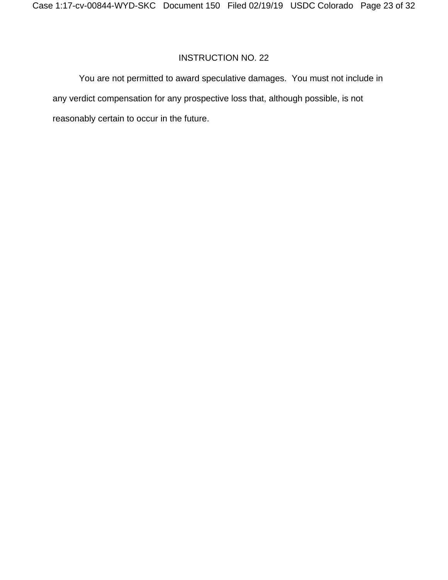You are not permitted to award speculative damages. You must not include in any verdict compensation for any prospective loss that, although possible, is not reasonably certain to occur in the future.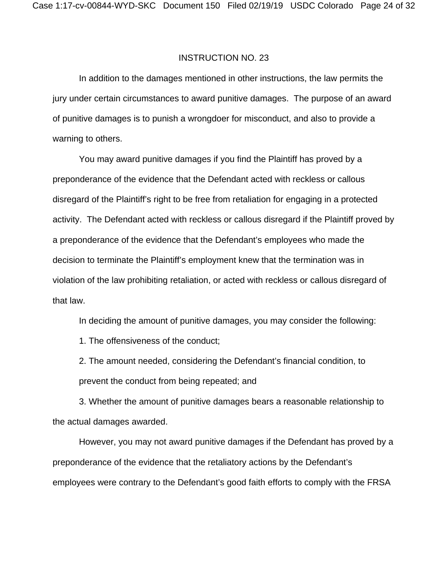In addition to the damages mentioned in other instructions, the law permits the jury under certain circumstances to award punitive damages. The purpose of an award of punitive damages is to punish a wrongdoer for misconduct, and also to provide a warning to others.

You may award punitive damages if you find the Plaintiff has proved by a preponderance of the evidence that the Defendant acted with reckless or callous disregard of the Plaintiff's right to be free from retaliation for engaging in a protected activity. The Defendant acted with reckless or callous disregard if the Plaintiff proved by a preponderance of the evidence that the Defendant's employees who made the decision to terminate the Plaintiff's employment knew that the termination was in violation of the law prohibiting retaliation, or acted with reckless or callous disregard of that law.

In deciding the amount of punitive damages, you may consider the following:

1. The offensiveness of the conduct;

2. The amount needed, considering the Defendant's financial condition, to prevent the conduct from being repeated; and

3. Whether the amount of punitive damages bears a reasonable relationship to the actual damages awarded.

However, you may not award punitive damages if the Defendant has proved by a preponderance of the evidence that the retaliatory actions by the Defendant's employees were contrary to the Defendant's good faith efforts to comply with the FRSA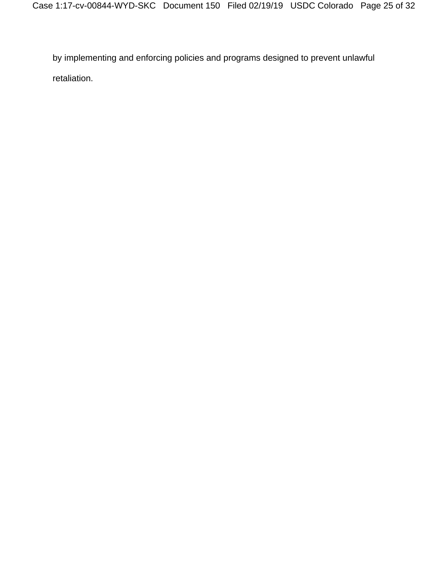by implementing and enforcing policies and programs designed to prevent unlawful retaliation.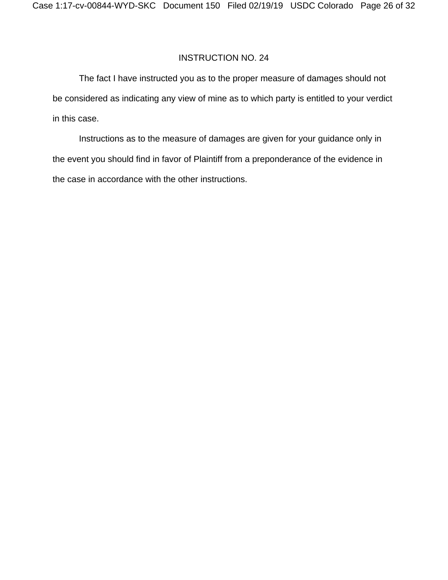The fact I have instructed you as to the proper measure of damages should not be considered as indicating any view of mine as to which party is entitled to your verdict in this case.

Instructions as to the measure of damages are given for your guidance only in the event you should find in favor of Plaintiff from a preponderance of the evidence in the case in accordance with the other instructions.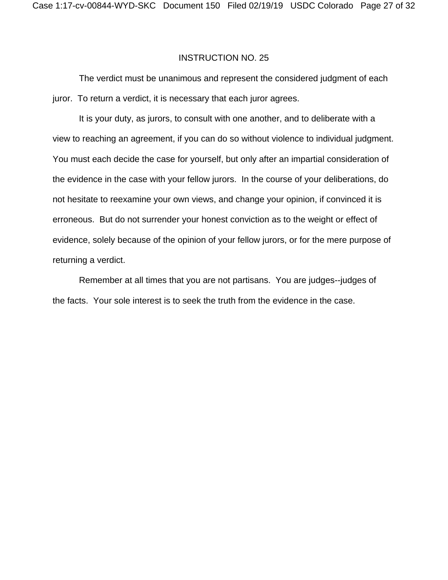The verdict must be unanimous and represent the considered judgment of each juror. To return a verdict, it is necessary that each juror agrees.

 It is your duty, as jurors, to consult with one another, and to deliberate with a view to reaching an agreement, if you can do so without violence to individual judgment. You must each decide the case for yourself, but only after an impartial consideration of the evidence in the case with your fellow jurors. In the course of your deliberations, do not hesitate to reexamine your own views, and change your opinion, if convinced it is erroneous. But do not surrender your honest conviction as to the weight or effect of evidence, solely because of the opinion of your fellow jurors, or for the mere purpose of returning a verdict.

 Remember at all times that you are not partisans. You are judges--judges of the facts. Your sole interest is to seek the truth from the evidence in the case.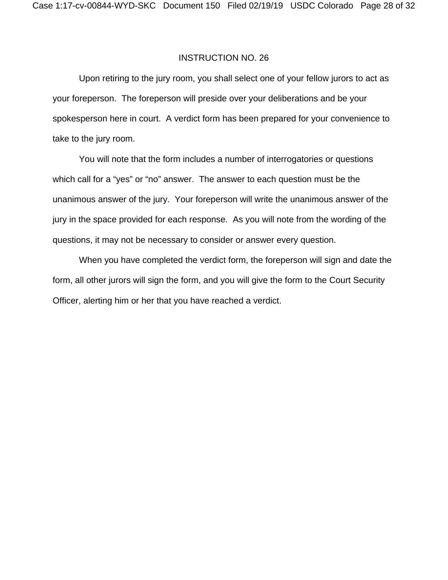Upon retiring to the jury room, you shall select one of your fellow jurors to act as your foreperson. The foreperson will preside over your deliberations and be your spokesperson here in court. A verdict form has been prepared for your convenience to take to the jury room.

 You will note that the form includes a number of interrogatories or questions which call for a "yes" or "no" answer. The answer to each question must be the unanimous answer of the jury. Your foreperson will write the unanimous answer of the jury in the space provided for each response. As you will note from the wording of the questions, it may not be necessary to consider or answer every question.

 When you have completed the verdict form, the foreperson will sign and date the form, all other jurors will sign the form, and you will give the form to the Court Security Officer, alerting him or her that you have reached a verdict.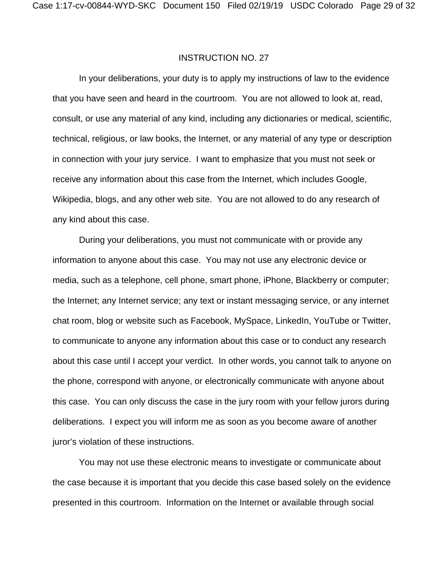In your deliberations, your duty is to apply my instructions of law to the evidence that you have seen and heard in the courtroom. You are not allowed to look at, read, consult, or use any material of any kind, including any dictionaries or medical, scientific, technical, religious, or law books, the Internet, or any material of any type or description in connection with your jury service. I want to emphasize that you must not seek or receive any information about this case from the Internet, which includes Google, Wikipedia, blogs, and any other web site. You are not allowed to do any research of any kind about this case.

 During your deliberations, you must not communicate with or provide any information to anyone about this case. You may not use any electronic device or media, such as a telephone, cell phone, smart phone, iPhone, Blackberry or computer; the Internet; any Internet service; any text or instant messaging service, or any internet chat room, blog or website such as Facebook, MySpace, LinkedIn, YouTube or Twitter, to communicate to anyone any information about this case or to conduct any research about this case until I accept your verdict. In other words, you cannot talk to anyone on the phone, correspond with anyone, or electronically communicate with anyone about this case. You can only discuss the case in the jury room with your fellow jurors during deliberations. I expect you will inform me as soon as you become aware of another juror's violation of these instructions.

 You may not use these electronic means to investigate or communicate about the case because it is important that you decide this case based solely on the evidence presented in this courtroom. Information on the Internet or available through social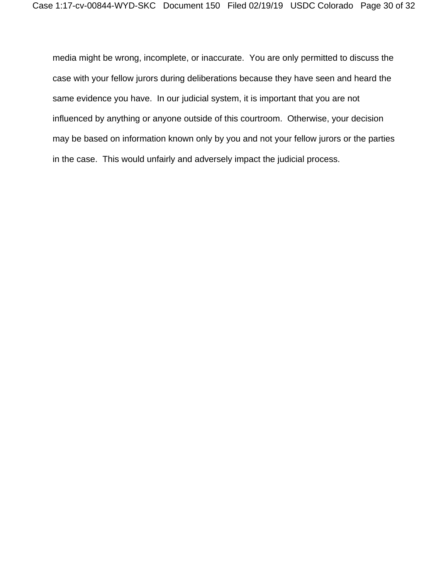media might be wrong, incomplete, or inaccurate. You are only permitted to discuss the case with your fellow jurors during deliberations because they have seen and heard the same evidence you have. In our judicial system, it is important that you are not influenced by anything or anyone outside of this courtroom. Otherwise, your decision may be based on information known only by you and not your fellow jurors or the parties in the case. This would unfairly and adversely impact the judicial process.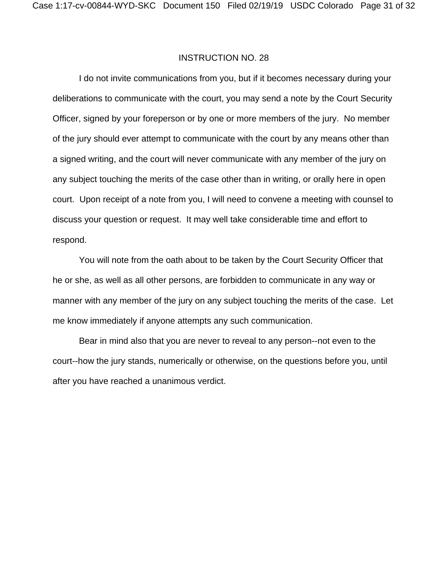I do not invite communications from you, but if it becomes necessary during your deliberations to communicate with the court, you may send a note by the Court Security Officer, signed by your foreperson or by one or more members of the jury. No member of the jury should ever attempt to communicate with the court by any means other than a signed writing, and the court will never communicate with any member of the jury on any subject touching the merits of the case other than in writing, or orally here in open court. Upon receipt of a note from you, I will need to convene a meeting with counsel to discuss your question or request. It may well take considerable time and effort to respond.

You will note from the oath about to be taken by the Court Security Officer that he or she, as well as all other persons, are forbidden to communicate in any way or manner with any member of the jury on any subject touching the merits of the case. Let me know immediately if anyone attempts any such communication.

Bear in mind also that you are never to reveal to any person--not even to the court--how the jury stands, numerically or otherwise, on the questions before you, until after you have reached a unanimous verdict.